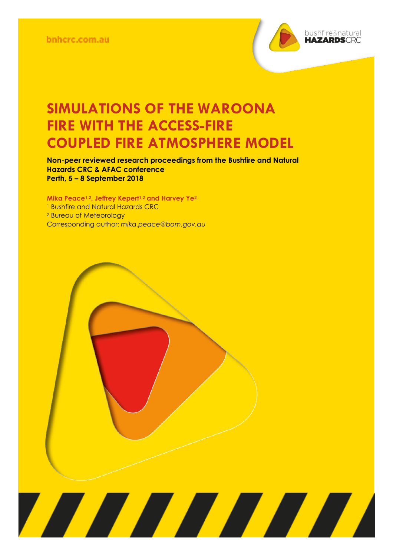

**Non-peer reviewed research proceedings from the Bushfire and Natural Hazards CRC & AFAC conference Perth, 5 – 8 September 2018**

**Mika Peace1,2, Jeffrey Kepert1,2 and Harvey Ye<sup>2</sup>** <sup>1</sup> Bushfire and Natural Hazards CRC <sup>2</sup> Bureau of Meteorology Corresponding author: *mika.peace@bom.gov.au*

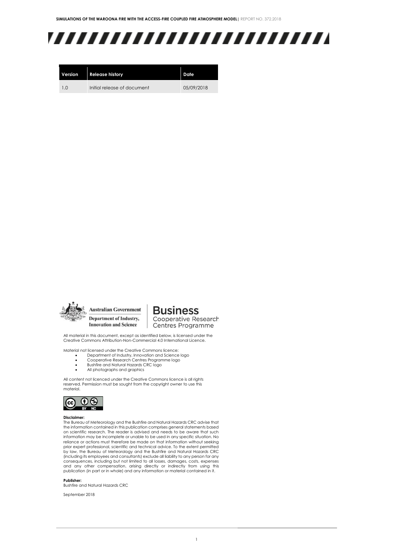## ,,,,,,,,,,,,,,,,,,,,,,,,,

| Version | <b>Release history</b>      | Date       |
|---------|-----------------------------|------------|
| 1.0     | Initial release of document | 05/09/2018 |



**Australian Government** Department of Industry, **Innovation and Science** 

**Business** Cooperative Research

Centres Programme

All material in this document, except as identified below, is licensed under the Creative Commons Attribution-Non-Commercial 4.0 International Licence.

Material not licensed under the Creative Commons licence:

- Department of Industry, Innovation and Science logo Cooperative Research Centres Programme logo
- Bushfire and Natural Hazards CRC logo
- All photographs and graphics

All content not licenced under the Creative Commons licence is all rights reserved. Permission must be sought from the copyright owner to use this material.



#### **Disclaimer:**

The Bureau of Meteorology and the Bushfire and Natural Hazards CRC advise that the information contained in this publication comprises general statements based on scientific research. The reader is advised and needs to be aware that such information may be incomplete or unable to be used in any specific situation. No reliance or actions must therefore be made on that information without seeking prior expert professional, scientific and technical advice. To the extent permitted by law, the Bureau of Meteorology and the Bushfire and Natural Hazards CRC (including its employees and consultants) exclude all liability to any person for any consequences, including but not limited to all losses, damages, costs, expenses and any other compensation, arising directly or indirectly from using this publication (in part or in whole) and any information or material contained in it.

**Publisher:**

Bushfire and Natural Hazards CRC

September 2018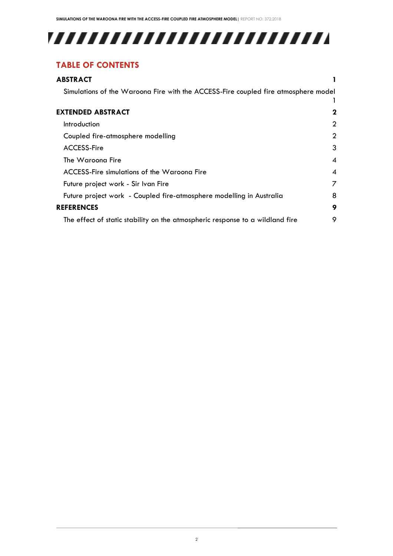# 

### **TABLE OF CONTENTS**

| <b>ABSTRACT</b>                                                                    |                  |
|------------------------------------------------------------------------------------|------------------|
| Simulations of the Waroona Fire with the ACCESS-Fire coupled fire atmosphere model |                  |
|                                                                                    |                  |
| <b>EXTENDED ABSTRACT</b>                                                           | 2                |
| Introduction                                                                       | 2                |
| Coupled fire-atmosphere modelling                                                  | $\overline{2}$   |
| <b>ACCESS-Fire</b>                                                                 | 3                |
| The Waroona Fire                                                                   | 4                |
| ACCESS-Fire simulations of the Waroona Fire                                        | $\boldsymbol{A}$ |
| Future project work - Sir Ivan Fire                                                | 7                |
| Future project work - Coupled fire-atmosphere modelling in Australia               | 8                |
| <b>REFERENCES</b>                                                                  | 9                |
| The effect of static stability on the atmospheric response to a wildland fire      | 9                |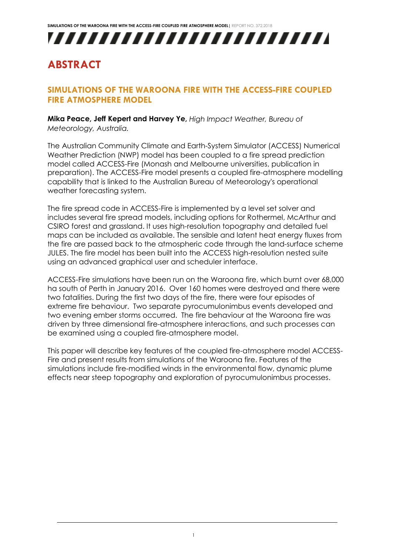

### <span id="page-3-0"></span>**ABSTRACT**

#### <span id="page-3-1"></span>**SIMULATIONS OF THE WAROONA FIRE WITH THE ACCESS-FIRE COUPLED FIRE ATMOSPHERE MODEL**

**Mika Peace, Jeff Kepert and Harvey Ye,** *High Impact Weather, Bureau of Meteorology, Australia.* 

The Australian Community Climate and Earth-System Simulator (ACCESS) Numerical Weather Prediction (NWP) model has been coupled to a fire spread prediction model called ACCESS-Fire (Monash and Melbourne universities, publication in preparation). The ACCESS-Fire model presents a coupled fire-atmosphere modelling capability that is linked to the Australian Bureau of Meteorology's operational weather forecasting system.

The fire spread code in ACCESS-Fire is implemented by a level set solver and includes several fire spread models, including options for Rothermel, McArthur and CSIRO forest and grassland. It uses high-resolution topography and detailed fuel maps can be included as available. The sensible and latent heat energy fluxes from the fire are passed back to the atmospheric code through the land-surface scheme JULES. The fire model has been built into the ACCESS high-resolution nested suite using an advanced graphical user and scheduler interface.

ACCESS-Fire simulations have been run on the Waroona fire, which burnt over 68,000 ha south of Perth in January 2016. Over 160 homes were destroyed and there were two fatalities. During the first two days of the fire, there were four episodes of extreme fire behaviour. Two separate pyrocumulonimbus events developed and two evening ember storms occurred. The fire behaviour at the Waroona fire was driven by three dimensional fire-atmosphere interactions, and such processes can be examined using a coupled fire-atmosphere model.

This paper will describe key features of the coupled fire-atmosphere model ACCESS-Fire and present results from simulations of the Waroona fire. Features of the simulations include fire-modified winds in the environmental flow, dynamic plume effects near steep topography and exploration of pyrocumulonimbus processes.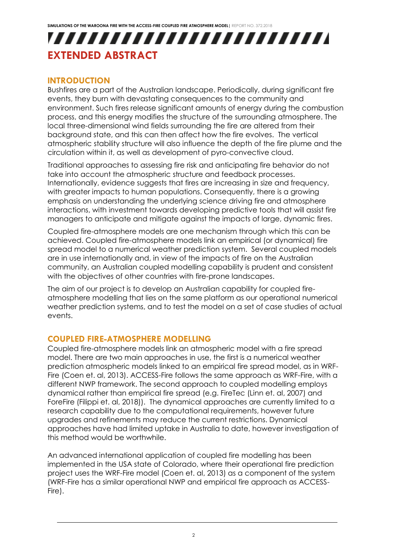### <span id="page-4-0"></span>,,,,,,,,,,,,,,,,,,,,,,,,, **EXTENDED ABSTRACT**

#### <span id="page-4-1"></span>**INTRODUCTION**

Bushfires are a part of the Australian landscape. Periodically, during significant fire events, they burn with devastating consequences to the community and environment. Such fires release significant amounts of energy during the combustion process, and this energy modifies the structure of the surrounding atmosphere. The local three-dimensional wind fields surrounding the fire are altered from their background state, and this can then affect how the fire evolves. The vertical atmospheric stability structure will also influence the depth of the fire plume and the circulation within it, as well as development of pyro-convective cloud.

Traditional approaches to assessing fire risk and anticipating fire behavior do not take into account the atmospheric structure and feedback processes. Internationally, evidence suggests that fires are increasing in size and frequency, with greater impacts to human populations. Consequently, there is a growing emphasis on understanding the underlying science driving fire and atmosphere interactions, with investment towards developing predictive tools that will assist fire managers to anticipate and mitigate against the impacts of large, dynamic fires.

Coupled fire-atmosphere models are one mechanism through which this can be achieved. Coupled fire-atmosphere models link an empirical (or dynamical) fire spread model to a numerical weather prediction system. Several coupled models are in use internationally and, in view of the impacts of fire on the Australian community, an Australian coupled modelling capability is prudent and consistent with the objectives of other countries with fire-prone landscapes.

The aim of our project is to develop an Australian capability for coupled fireatmosphere modelling that lies on the same platform as our operational numerical weather prediction systems, and to test the model on a set of case studies of actual events.

#### <span id="page-4-2"></span>**COUPLED FIRE-ATMOSPHERE MODELLING**

Coupled fire-atmosphere models link an atmospheric model with a fire spread model. There are two main approaches in use, the first is a numerical weather prediction atmospheric models linked to an empirical fire spread model, as in WRF-Fire (Coen et. al, 2013). ACCESS-Fire follows the same approach as WRF-Fire, with a different NWP framework. The second approach to coupled modelling employs dynamical rather than empirical fire spread (e.g. FireTec (Linn et. al, 2007) and ForeFire (Filippi et. al, 2018)). The dynamical approaches are currently limited to a research capability due to the computational requirements, however future upgrades and refinements may reduce the current restrictions. Dynamical approaches have had limited uptake in Australia to date, however investigation of this method would be worthwhile.

An advanced international application of coupled fire modelling has been implemented in the USA state of Colorado, where their operational fire prediction project uses the WRF-Fire model (Coen et. al, 2013) as a component of the system (WRF-Fire has a similar operational NWP and empirical fire approach as ACCESS-Fire).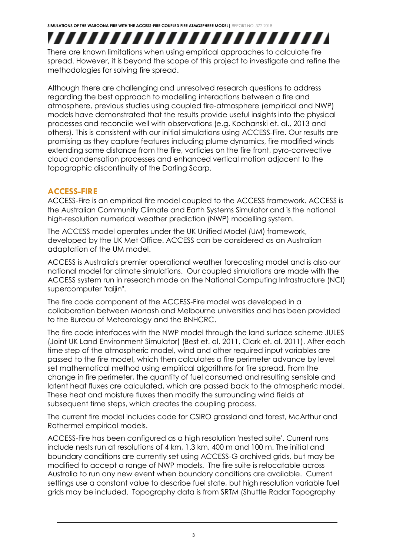## ,,,,,,,,,,,,,,,,,,,,,,,,,

There are known limitations when using empirical approaches to calculate fire spread. However, it is beyond the scope of this project to investigate and refine the methodologies for solving fire spread.

Although there are challenging and unresolved research questions to address regarding the best approach to modelling interactions between a fire and atmosphere, previous studies using coupled fire-atmosphere (empirical and NWP) models have demonstrated that the results provide useful insights into the physical processes and reconcile well with observations (e.g. Kochanski et. al., 2013 and others). This is consistent with our initial simulations using ACCESS-Fire. Our results are promising as they capture features including plume dynamics, fire modified winds extending some distance from the fire, vorticies on the fire front, pyro-convective cloud condensation processes and enhanced vertical motion adjacent to the topographic discontinuity of the Darling Scarp.

#### <span id="page-5-0"></span>**ACCESS-FIRE**

ACCESS-Fire is an empirical fire model coupled to the ACCESS framework. ACCESS is the Australian Community Climate and Earth Systems Simulator and is the national high-resolution numerical weather prediction (NWP) modelling system.

The ACCESS model operates under the UK Unified Model (UM) framework, developed by the UK Met Office. ACCESS can be considered as an Australian adaptation of the UM model.

ACCESS is Australia's premier operational weather forecasting model and is also our national model for climate simulations. Our coupled simulations are made with the ACCESS system run in research mode on the National Computing Infrastructure (NCI) supercomputer "raijin".

The fire code component of the ACCESS-Fire model was developed in a collaboration between Monash and Melbourne universities and has been provided to the Bureau of Meteorology and the BNHCRC.

The fire code interfaces with the NWP model through the land surface scheme JULES (Joint UK Land Environment Simulator) (Best et. al, 2011, Clark et. al. 2011). After each time step of the atmospheric model, wind and other required input variables are passed to the fire model, which then calculates a fire perimeter advance by level set mathematical method using empirical algorithms for fire spread. From the change in fire perimeter, the quantity of fuel consumed and resulting sensible and latent heat fluxes are calculated, which are passed back to the atmospheric model. These heat and moisture fluxes then modify the surrounding wind fields at subsequent time steps, which creates the coupling process.

The current fire model includes code for CSIRO grassland and forest, McArthur and Rothermel empirical models.

ACCESS-Fire has been configured as a high resolution 'nested suite'. Current runs include nests run at resolutions of 4 km, 1.3 km, 400 m and 100 m. The initial and boundary conditions are currently set using ACCESS-G archived grids, but may be modified to accept a range of NWP models. The fire suite is relocatable across Australia to run any new event when boundary conditions are available. Current settings use a constant value to describe fuel state, but high resolution variable fuel grids may be included. Topography data is from SRTM (Shuttle Radar Topography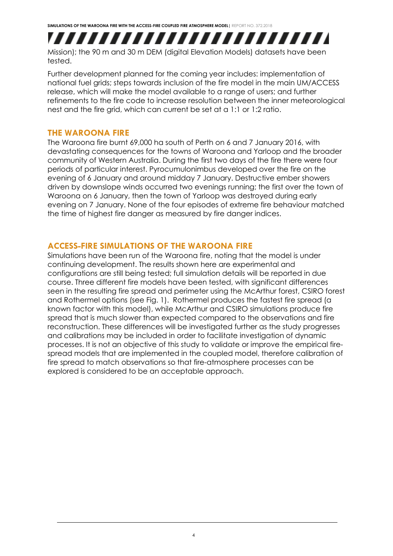,,,,,,,,,,,,,,,,,,,,,,,,, Mission); the 90 m and 30 m DEM (digital Elevation Models) datasets have been tested.

Further development planned for the coming year includes: implementation of national fuel grids; steps towards inclusion of the fire model in the main UM/ACCESS release, which will make the model available to a range of users; and further refinements to the fire code to increase resolution between the inner meteorological nest and the fire grid, which can current be set at a 1:1 or 1:2 ratio.

#### <span id="page-6-0"></span>**THE WAROONA FIRE**

The Waroona fire burnt 69,000 ha south of Perth on 6 and 7 January 2016, with devastating consequences for the towns of Waroona and Yarloop and the broader community of Western Australia. During the first two days of the fire there were four periods of particular interest. Pyrocumulonimbus developed over the fire on the evening of 6 January and around midday 7 January. Destructive ember showers driven by downslope winds occurred two evenings running; the first over the town of Waroona on 6 January, then the town of Yarloop was destroyed during early evening on 7 January. None of the four episodes of extreme fire behaviour matched the time of highest fire danger as measured by fire danger indices.

#### <span id="page-6-1"></span>**ACCESS-FIRE SIMULATIONS OF THE WAROONA FIRE**

Simulations have been run of the Waroona fire, noting that the model is under continuing development. The results shown here are experimental and configurations are still being tested; full simulation details will be reported in due course. Three different fire models have been tested, with significant differences seen in the resulting fire spread and perimeter using the McArthur forest, CSIRO forest and Rothermel options (see Fig. 1). Rothermel produces the fastest fire spread (a known factor with this model), while McArthur and CSIRO simulations produce fire spread that is much slower than expected compared to the observations and fire reconstruction. These differences will be investigated further as the study progresses and calibrations may be included in order to facilitate investigation of dynamic processes. It is not an objective of this study to validate or improve the empirical firespread models that are implemented in the coupled model, therefore calibration of fire spread to match observations so that fire-atmosphere processes can be explored is considered to be an acceptable approach.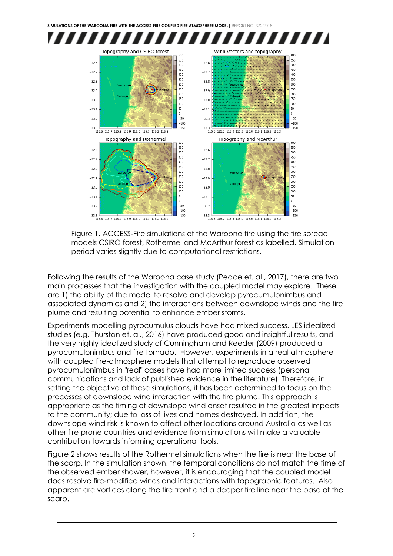

Figure 1. ACCESS-Fire simulations of the Waroona fire using the fire spread models CSIRO forest, Rothermel and McArthur forest as labelled. Simulation period varies slightly due to computational restrictions.

Following the results of the Waroona case study (Peace et. al., 2017), there are two main processes that the investigation with the coupled model may explore. These are 1) the ability of the model to resolve and develop pyrocumulonimbus and associated dynamics and 2) the interactions between downslope winds and the fire plume and resulting potential to enhance ember storms.

Experiments modelling pyrocumulus clouds have had mixed success. LES idealized studies (e.g. Thurston et. al., 2016) have produced good and insightful results, and the very highly idealized study of Cunningham and Reeder (2009) produced a pyrocumulonimbus and fire tornado. However, experiments in a real atmosphere with coupled fire-atmosphere models that attempt to reproduce observed pyrocumulonimbus in "real" cases have had more limited success (personal communications and lack of published evidence in the literature). Therefore, in setting the objective of these simulations, it has been determined to focus on the processes of downslope wind interaction with the fire plume. This approach is appropriate as the timing of downslope wind onset resulted in the greatest impacts to the community; due to loss of lives and homes destroyed. In addition, the downslope wind risk is known to affect other locations around Australia as well as other fire prone countries and evidence from simulations will make a valuable contribution towards informing operational tools.

Figure 2 shows results of the Rothermel simulations when the fire is near the base of the scarp. In the simulation shown, the temporal conditions do not match the time of the observed ember shower, however, it is encouraging that the coupled model does resolve fire-modified winds and interactions with topographic features. Also apparent are vortices along the fire front and a deeper fire line near the base of the scarp.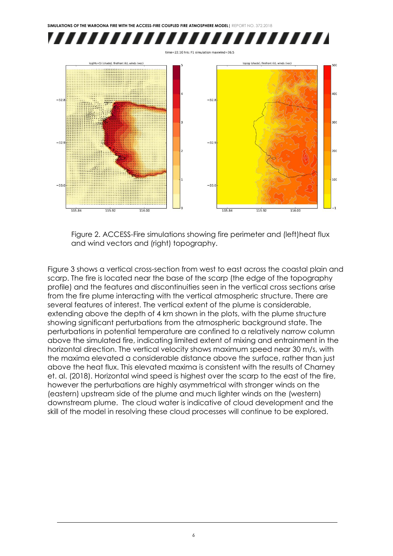**SIMULATIONS OF THE WAROONA FIRE WITH THE ACCESS-FIRE COUPLED FIRE ATMOSPHERE MODEL|** REPORT NO. 372.2018 ,,,,,,,,,,,,,,,,,,,,,,,,,,  $time = 22.10$  hrs: F1 simulation maxwind=36.5 log(Hs+1) (shade), firefront (k), winds (vec) topog (shade), firefront (k), winds (vec)  $400$  $-32.$  $-32.1$  $300$  $-32.$  $-32.9$  $200$ 100  $-33.0$  $-33$  $115.92$  $115.84$  $115.92$  $116.00$  $115.84$  $116.00$ 

Figure 2. ACCESS-Fire simulations showing fire perimeter and (left)heat flux and wind vectors and (right) topography.

Figure 3 shows a vertical cross-section from west to east across the coastal plain and scarp. The fire is located near the base of the scarp (the edge of the topography profile) and the features and discontinuities seen in the vertical cross sections arise from the fire plume interacting with the vertical atmospheric structure. There are several features of interest. The vertical extent of the plume is considerable, extending above the depth of 4 km shown in the plots, with the plume structure showing significant perturbations from the atmospheric background state. The perturbations in potential temperature are confined to a relatively narrow column above the simulated fire, indicating limited extent of mixing and entrainment in the horizontal direction. The vertical velocity shows maximum speed near 30 m/s, with the maxima elevated a considerable distance above the surface, rather than just above the heat flux. This elevated maxima is consistent with the results of Charney et. al. (2018). Horizontal wind speed is highest over the scarp to the east of the fire, however the perturbations are highly asymmetrical with stronger winds on the (eastern) upstream side of the plume and much lighter winds on the (western) downstream plume. The cloud water is indicative of cloud development and the skill of the model in resolving these cloud processes will continue to be explored.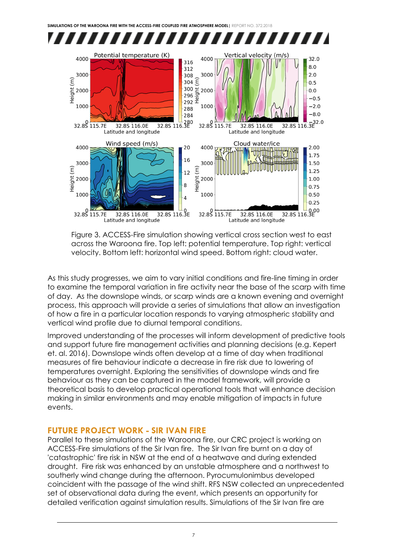

Figure 3. ACCESS-Fire simulation showing vertical cross section west to east across the Waroona fire. Top left: potential temperature. Top right: vertical velocity. Bottom left: horizontal wind speed. Bottom right: cloud water.

As this study progresses, we aim to vary initial conditions and fire-line timing in order to examine the temporal variation in fire activity near the base of the scarp with time of day. As the downslope winds, or scarp winds are a known evening and overnight process, this approach will provide a series of simulations that allow an investigation of how a fire in a particular location responds to varying atmospheric stability and vertical wind profile due to diurnal temporal conditions.

Improved understanding of the processes will inform development of predictive tools and support future fire management activities and planning decisions (e.g. Kepert et. al. 2016). Downslope winds often develop at a time of day when traditional measures of fire behaviour indicate a decrease in fire risk due to lowering of temperatures overnight. Exploring the sensitivities of downslope winds and fire behaviour as they can be captured in the model framework, will provide a theoretical basis to develop practical operational tools that will enhance decision making in similar environments and may enable mitigation of impacts in future events.

#### <span id="page-9-0"></span>**FUTURE PROJECT WORK - SIR IVAN FIRE**

Parallel to these simulations of the Waroona fire, our CRC project is working on ACCESS-Fire simulations of the Sir Ivan fire. The Sir Ivan fire burnt on a day of 'catastrophic' fire risk in NSW at the end of a heatwave and during extended drought. Fire risk was enhanced by an unstable atmosphere and a northwest to southerly wind change during the afternoon. Pyrocumulonimbus developed coincident with the passage of the wind shift. RFS NSW collected an unprecedented set of observational data during the event, which presents an opportunity for detailed verification against simulation results. Simulations of the Sir Ivan fire are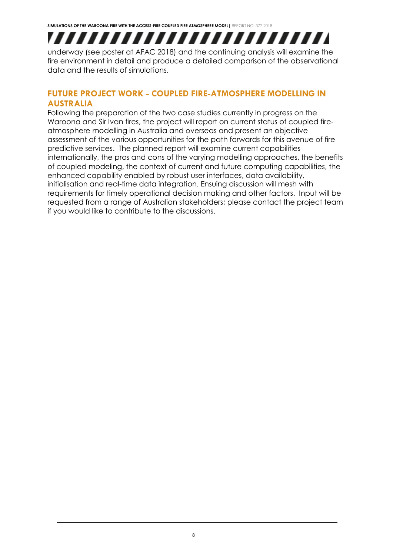## ,,,,,,,,,,,,,,,,,,,,,,,,,,

underway (see poster at AFAC 2018) and the continuing analysis will examine the fire environment in detail and produce a detailed comparison of the observational data and the results of simulations.

#### <span id="page-10-0"></span>**FUTURE PROJECT WORK - COUPLED FIRE-ATMOSPHERE MODELLING IN AUSTRALIA**

Following the preparation of the two case studies currently in progress on the Waroona and Sir Ivan fires, the project will report on current status of coupled fireatmosphere modelling in Australia and overseas and present an objective assessment of the various opportunities for the path forwards for this avenue of fire predictive services. The planned report will examine current capabilities internationally, the pros and cons of the varying modelling approaches, the benefits of coupled modeling, the context of current and future computing capabilities, the enhanced capability enabled by robust user interfaces, data availability, initialisation and real-time data integration. Ensuing discussion will mesh with requirements for timely operational decision making and other factors. Input will be requested from a range of Australian stakeholders; please contact the project team if you would like to contribute to the discussions.